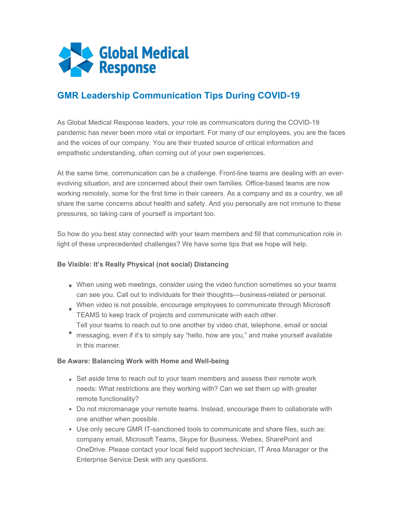

## **GMR Leadership Communication Tips During COVID-19**

As Global Medical Response leaders, your role as communicators during the COVID-19 pandemic has never been more vital or important. For many of our employees, you are the faces and the voices of our company. You are their trusted source of critical information and empathetic understanding, often coming out of your own experiences.

At the same time, communication can be a challenge. Front-line teams are dealing with an everevolving situation, and are concerned about their own families. Office-based teams are now working remotely, some for the first time in their careers. As a company and as a country, we all share the same concerns about health and safety. And you personally are not immune to these pressures, so taking care of yourself is important too.

So how do you best stay connected with your team members and fill that communication role in light of these unprecedented challenges? We have some tips that we hope will help.

## **Be Visible: It's Really Physical (not social) Distancing**

- When using web meetings, consider using the video function sometimes so your teams can see you. Call out to individuals for their thoughts—business-related or personal.
- When video is not possible, encourage employees to communicate through Microsoft TEAMS to keep track of projects and communicate with each other. Tell your teams to reach out to one another by video chat, telephone, email or social
- messaging, even if it's to simply say "hello, how are you," and make yourself available in this manner.

## **Be Aware: Balancing Work with Home and Well-being**

- Set aside time to reach out to your team members and assess their remote work needs: What restrictions are they working with? Can we set them up with greater remote functionality?
- Do not micromanage your remote teams. Instead, encourage them to collaborate with one another when possible.
- Use only secure GMR IT-sanctioned tools to communicate and share files, such as: company email, Microsoft Teams, Skype for Business, Webex, SharePoint and OneDrive. Please contact your local field support technician, IT Area Manager or the Enterprise Service Desk with any questions.